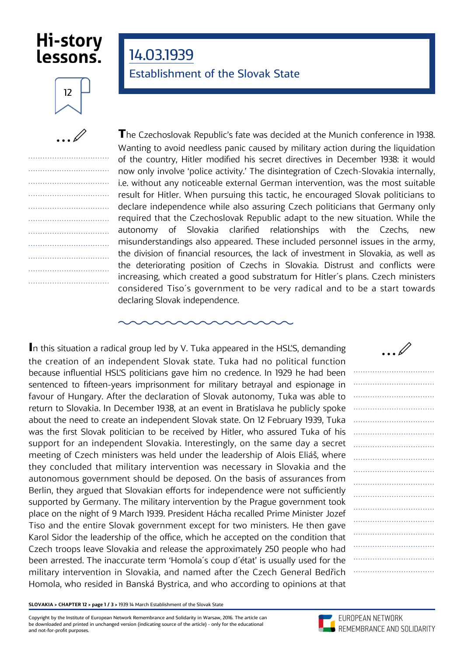## **Hi-story** lessons.

## 14.03.1939

Establishment of the Slovak State



.................................. .................................. .................................. .................................. .................................. .................................. .................................. ..................................

.................................. ..................................

**T**he Czechoslovak Republic's fate was decided at the Munich conference in 1938. Wanting to avoid needless panic caused by military action during the liquidation of the country, Hitler modified his secret directives in December 1938: it would now only involve 'police activity.' The disintegration of Czech-Slovakia internally, i.e. without any noticeable external German intervention, was the most suitable result for Hitler. When pursuing this tactic, he encouraged Slovak politicians to declare independence while also assuring Czech politicians that Germany only required that the Czechoslovak Republic adapt to the new situation. While the autonomy of Slovakia clarified relationships with the Czechs, new misunderstandings also appeared. These included personnel issues in the army, the division of financial resources, the lack of investment in Slovakia, as well as the deteriorating position of Czechs in Slovakia. Distrust and conflicts were increasing, which created a good substratum for Hitler´s plans. Czech ministers considered Tiso´s government to be very radical and to be a start towards declaring Slovak independence.

**I**n this situation a radical group led by V. Tuka appeared in the HSĽS, demanding the creation of an independent Slovak state. Tuka had no political function because influential HSĽS politicians gave him no credence. In 1929 he had been sentenced to fifteen-years imprisonment for military betrayal and espionage in favour of Hungary. After the declaration of Slovak autonomy, Tuka was able to return to Slovakia. In December 1938, at an event in Bratislava he publicly spoke about the need to create an independent Slovak state. On 12 February 1939, Tuka was the first Slovak politician to be received by Hitler, who assured Tuka of his support for an independent Slovakia. Interestingly, on the same day a secret meeting of Czech ministers was held under the leadership of Alois Eliáš, where they concluded that military intervention was necessary in Slovakia and the autonomous government should be deposed. On the basis of assurances from Berlin, they argued that Slovakian efforts for independence were not sufficiently supported by Germany. The military intervention by the Prague government took place on the night of 9 March 1939. President Hácha recalled Prime Minister Jozef Tiso and the entire Slovak government except for two ministers. He then gave Karol Sidor the leadership of the office, which he accepted on the condition that Czech troops leave Slovakia and release the approximately 250 people who had been arrested. The inaccurate term 'Homola´s coup d´état' is usually used for the military intervention in Slovakia, and named after the Czech General Bedřich Homola, who resided in Banská Bystrica, and who according to opinions at that



**SLOVAKIA > CHAPTER 12 > page 1 / 3 >** 1939 14 March Establishment of the Slovak State

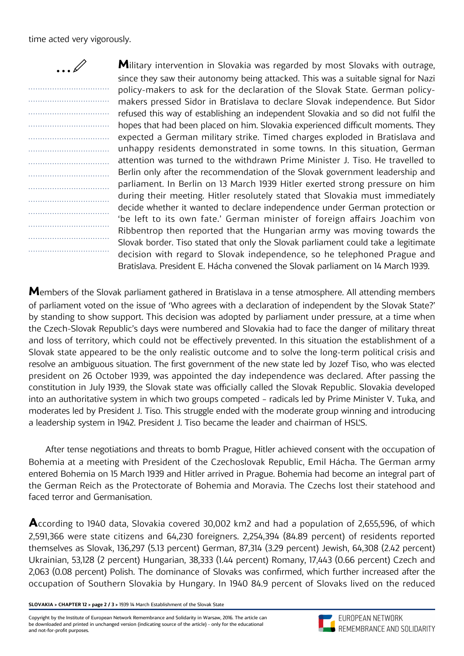time acted very vigorously.

|  |  | . $\cancel{\mathscr{L}}$ |  |  |  |  |          |  |  |  |  |  |  |  |  |  |  |  |  |  |  |  |  |  |
|--|--|--------------------------|--|--|--|--|----------|--|--|--|--|--|--|--|--|--|--|--|--|--|--|--|--|--|
|  |  |                          |  |  |  |  |          |  |  |  |  |  |  |  |  |  |  |  |  |  |  |  |  |  |
|  |  |                          |  |  |  |  |          |  |  |  |  |  |  |  |  |  |  |  |  |  |  |  |  |  |
|  |  |                          |  |  |  |  |          |  |  |  |  |  |  |  |  |  |  |  |  |  |  |  |  |  |
|  |  |                          |  |  |  |  |          |  |  |  |  |  |  |  |  |  |  |  |  |  |  |  |  |  |
|  |  |                          |  |  |  |  |          |  |  |  |  |  |  |  |  |  |  |  |  |  |  |  |  |  |
|  |  |                          |  |  |  |  |          |  |  |  |  |  |  |  |  |  |  |  |  |  |  |  |  |  |
|  |  |                          |  |  |  |  |          |  |  |  |  |  |  |  |  |  |  |  |  |  |  |  |  |  |
|  |  |                          |  |  |  |  |          |  |  |  |  |  |  |  |  |  |  |  |  |  |  |  |  |  |
|  |  |                          |  |  |  |  |          |  |  |  |  |  |  |  |  |  |  |  |  |  |  |  |  |  |
|  |  |                          |  |  |  |  |          |  |  |  |  |  |  |  |  |  |  |  |  |  |  |  |  |  |
|  |  |                          |  |  |  |  |          |  |  |  |  |  |  |  |  |  |  |  |  |  |  |  |  |  |
|  |  |                          |  |  |  |  | $\cdots$ |  |  |  |  |  |  |  |  |  |  |  |  |  |  |  |  |  |
|  |  |                          |  |  |  |  |          |  |  |  |  |  |  |  |  |  |  |  |  |  |  |  |  |  |
|  |  |                          |  |  |  |  |          |  |  |  |  |  |  |  |  |  |  |  |  |  |  |  |  |  |
|  |  |                          |  |  |  |  |          |  |  |  |  |  |  |  |  |  |  |  |  |  |  |  |  |  |
|  |  |                          |  |  |  |  |          |  |  |  |  |  |  |  |  |  |  |  |  |  |  |  |  |  |
|  |  |                          |  |  |  |  |          |  |  |  |  |  |  |  |  |  |  |  |  |  |  |  |  |  |

**M**ilitary intervention in Slovakia was regarded by most Slovaks with outrage, since they saw their autonomy being attacked. This was a suitable signal for Nazi policy-makers to ask for the declaration of the Slovak State. German policymakers pressed Sidor in Bratislava to declare Slovak independence. But Sidor refused this way of establishing an independent Slovakia and so did not fulfil the hopes that had been placed on him. Slovakia experienced difficult moments. They expected a German military strike. Timed charges exploded in Bratislava and unhappy residents demonstrated in some towns. In this situation, German attention was turned to the withdrawn Prime Minister J. Tiso. He travelled to Berlin only after the recommendation of the Slovak government leadership and parliament. In Berlin on 13 March 1939 Hitler exerted strong pressure on him during their meeting. Hitler resolutely stated that Slovakia must immediately decide whether it wanted to declare independence under German protection or 'be left to its own fate.' German minister of foreign affairs Joachim von Ribbentrop then reported that the Hungarian army was moving towards the Slovak border. Tiso stated that only the Slovak parliament could take a legitimate decision with regard to Slovak independence, so he telephoned Prague and Bratislava. President E. Hácha convened the Slovak parliament on 14 March 1939.

**M**embers of the Slovak parliament gathered in Bratislava in a tense atmosphere. All attending members of parliament voted on the issue of 'Who agrees with a declaration of independent by the Slovak State?' by standing to show support. This decision was adopted by parliament under pressure, at a time when the Czech-Slovak Republic's days were numbered and Slovakia had to face the danger of military threat and loss of territory, which could not be effectively prevented. In this situation the establishment of a Slovak state appeared to be the only realistic outcome and to solve the long-term political crisis and resolve an ambiguous situation. The first government of the new state led by Jozef Tiso, who was elected president on 26 October 1939, was appointed the day independence was declared. After passing the constitution in July 1939, the Slovak state was officially called the Slovak Republic. Slovakia developed into an authoritative system in which two groups competed – radicals led by Prime Minister V. Tuka, and moderates led by President J. Tiso. This struggle ended with the moderate group winning and introducing a leadership system in 1942. President J. Tiso became the leader and chairman of HSĽS.

 After tense negotiations and threats to bomb Prague, Hitler achieved consent with the occupation of Bohemia at a meeting with President of the Czechoslovak Republic, Emil Hácha. The German army entered Bohemia on 15 March 1939 and Hitler arrived in Prague. Bohemia had become an integral part of the German Reich as the Protectorate of Bohemia and Moravia. The Czechs lost their statehood and faced terror and Germanisation.

**A**ccording to 1940 data, Slovakia covered 30,002 km2 and had a population of 2,655,596, of which 2,591,366 were state citizens and 64,230 foreigners. 2,254,394 (84.89 percent) of residents reported themselves as Slovak, 136,297 (5.13 percent) German, 87,314 (3.29 percent) Jewish, 64,308 (2.42 percent) Ukrainian, 53,128 (2 percent) Hungarian, 38,333 (1.44 percent) Romany, 17,443 (0.66 percent) Czech and 2,063 0.08 percent) Polish. The dominance of Slovaks was confirmed, which further increased after the occupation of Southern Slovakia by Hungary. In 1940 84.9 percent of Slovaks lived on the reduced

**SLOVAKIA > CHAPTER 12 > page 2 / 3 >** 1939 14 March Establishment of the Slovak State

Copyright by the Institute of European Network Remembrance and Solidarity in Warsaw, 2016. The article can be downloaded and printed in unchanged version (indicating source of the article) - only for the educational and not-for-profit purposes.